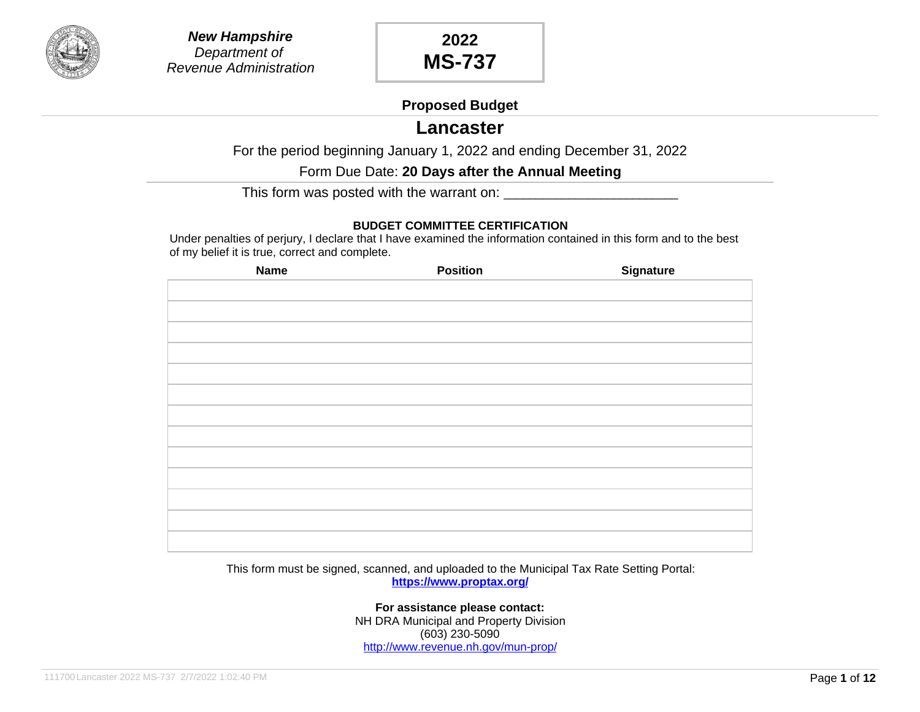

#### **Proposed Budget**

## **Lancaster**

For the period beginning January 1, 2022 and ending December 31, 2022

Form Due Date: **20 Days after the Annual Meeting**

This form was posted with the warrant on: \_\_\_\_\_\_\_\_\_\_\_\_\_\_\_\_\_\_\_\_\_\_\_\_\_\_\_

#### **BUDGET COMMITTEE CERTIFICATION**

Under penalties of perjury, I declare that I have examined the information contained in this form and to the best of my belief it is true, correct and complete.

| <b>Name</b> | <b>Position</b> | <b>Signature</b> |
|-------------|-----------------|------------------|
|             |                 |                  |
|             |                 |                  |
|             |                 |                  |
|             |                 |                  |
|             |                 |                  |
|             |                 |                  |
|             |                 |                  |
|             |                 |                  |
|             |                 |                  |
|             |                 |                  |
|             |                 |                  |
|             |                 |                  |
|             |                 |                  |
|             |                 |                  |

This form must be signed, scanned, and uploaded to the Municipal Tax Rate Setting Portal: **<https://www.proptax.org/>**

> **For assistance please contact:** NH DRA Municipal and Property Division (603) 230-5090 <http://www.revenue.nh.gov/mun-prop/>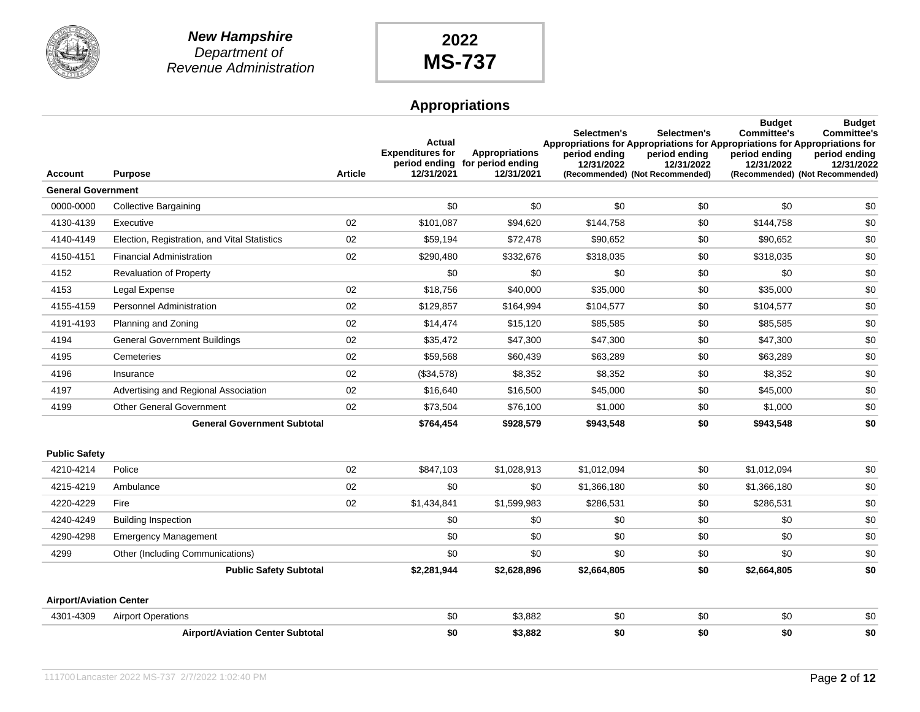

|                                |                                              |                | Actual<br><b>Expenditures for</b> | <b>Appropriations</b><br>period ending for period ending | Selectmen's<br>Appropriations for Appropriations for Appropriations for Appropriations for<br>period ending<br>12/31/2022 | Selectmen's<br>period ending<br>12/31/2022 | <b>Budget</b><br><b>Committee's</b><br>period ending<br>12/31/2022 | <b>Budget</b><br><b>Committee's</b><br>period ending<br>12/31/2022 |
|--------------------------------|----------------------------------------------|----------------|-----------------------------------|----------------------------------------------------------|---------------------------------------------------------------------------------------------------------------------------|--------------------------------------------|--------------------------------------------------------------------|--------------------------------------------------------------------|
| <b>Account</b>                 | <b>Purpose</b>                               | <b>Article</b> | 12/31/2021                        | 12/31/2021                                               |                                                                                                                           | (Recommended) (Not Recommended)            |                                                                    | (Recommended) (Not Recommended)                                    |
| <b>General Government</b>      |                                              |                |                                   |                                                          |                                                                                                                           |                                            |                                                                    |                                                                    |
| 0000-0000                      | <b>Collective Bargaining</b>                 |                | \$0                               | \$0                                                      | \$0                                                                                                                       | \$0                                        | \$0                                                                | \$0                                                                |
| 4130-4139                      | Executive                                    | 02             | \$101,087                         | \$94,620                                                 | \$144,758                                                                                                                 | \$0                                        | \$144,758                                                          | \$0                                                                |
| 4140-4149                      | Election, Registration, and Vital Statistics | 02             | \$59,194                          | \$72,478                                                 | \$90,652                                                                                                                  | \$0                                        | \$90,652                                                           | \$0                                                                |
| 4150-4151                      | <b>Financial Administration</b>              | 02             | \$290,480                         | \$332,676                                                | \$318,035                                                                                                                 | \$0                                        | \$318,035                                                          | \$0                                                                |
| 4152                           | <b>Revaluation of Property</b>               |                | \$0                               | \$0                                                      | \$0                                                                                                                       | \$0                                        | \$0                                                                | \$0                                                                |
| 4153                           | Legal Expense                                | 02             | \$18,756                          | \$40,000                                                 | \$35,000                                                                                                                  | \$0                                        | \$35,000                                                           | \$0                                                                |
| 4155-4159                      | <b>Personnel Administration</b>              | 02             | \$129,857                         | \$164,994                                                | \$104,577                                                                                                                 | \$0                                        | \$104,577                                                          | \$0                                                                |
| 4191-4193                      | Planning and Zoning                          | 02             | \$14,474                          | \$15,120                                                 | \$85,585                                                                                                                  | \$0                                        | \$85,585                                                           | \$0                                                                |
| 4194                           | <b>General Government Buildings</b>          | 02             | \$35,472                          | \$47,300                                                 | \$47,300                                                                                                                  | \$0                                        | \$47,300                                                           | \$0                                                                |
| 4195                           | Cemeteries                                   | 02             | \$59,568                          | \$60,439                                                 | \$63,289                                                                                                                  | \$0                                        | \$63,289                                                           | \$0                                                                |
| 4196                           | Insurance                                    | 02             | (\$34,578)                        | \$8,352                                                  | \$8,352                                                                                                                   | \$0                                        | \$8,352                                                            | \$0                                                                |
| 4197                           | Advertising and Regional Association         | 02             | \$16,640                          | \$16,500                                                 | \$45,000                                                                                                                  | \$0                                        | \$45,000                                                           | \$0                                                                |
| 4199                           | <b>Other General Government</b>              | 02             | \$73,504                          | \$76,100                                                 | \$1,000                                                                                                                   | \$0                                        | \$1,000                                                            | \$0                                                                |
|                                | <b>General Government Subtotal</b>           |                | \$764,454                         | \$928,579                                                | \$943,548                                                                                                                 | \$0                                        | \$943,548                                                          | \$0                                                                |
| <b>Public Safety</b>           |                                              |                |                                   |                                                          |                                                                                                                           |                                            |                                                                    |                                                                    |
| 4210-4214                      | Police                                       | 02             | \$847,103                         | \$1,028,913                                              | \$1,012,094                                                                                                               | \$0                                        | \$1,012,094                                                        | \$0                                                                |
| 4215-4219                      | Ambulance                                    | 02             | \$0                               | \$0                                                      | \$1,366,180                                                                                                               | \$0                                        | \$1,366,180                                                        | \$0                                                                |
| 4220-4229                      | Fire                                         | 02             | \$1,434,841                       | \$1,599,983                                              | \$286,531                                                                                                                 | \$0                                        | \$286,531                                                          | \$0                                                                |
| 4240-4249                      | <b>Building Inspection</b>                   |                | \$0                               | \$0                                                      | \$0                                                                                                                       | \$0                                        | \$0                                                                | \$0                                                                |
| 4290-4298                      | <b>Emergency Management</b>                  |                | \$0                               | \$0                                                      | \$0                                                                                                                       | \$0                                        | \$0                                                                | \$0                                                                |
| 4299                           | Other (Including Communications)             |                | \$0                               | \$0                                                      | \$0                                                                                                                       | \$0                                        | \$0                                                                | \$0                                                                |
|                                | <b>Public Safety Subtotal</b>                |                | \$2,281,944                       | \$2,628,896                                              | \$2,664,805                                                                                                               | \$0                                        | \$2,664,805                                                        | \$0                                                                |
| <b>Airport/Aviation Center</b> |                                              |                |                                   |                                                          |                                                                                                                           |                                            |                                                                    |                                                                    |
| 4301-4309                      | <b>Airport Operations</b>                    |                | \$0                               | \$3,882                                                  | \$0                                                                                                                       | \$0                                        | \$0                                                                | \$0                                                                |
|                                | <b>Airport/Aviation Center Subtotal</b>      |                | \$0                               | \$3,882                                                  | \$0                                                                                                                       | \$0                                        | \$0                                                                | \$0                                                                |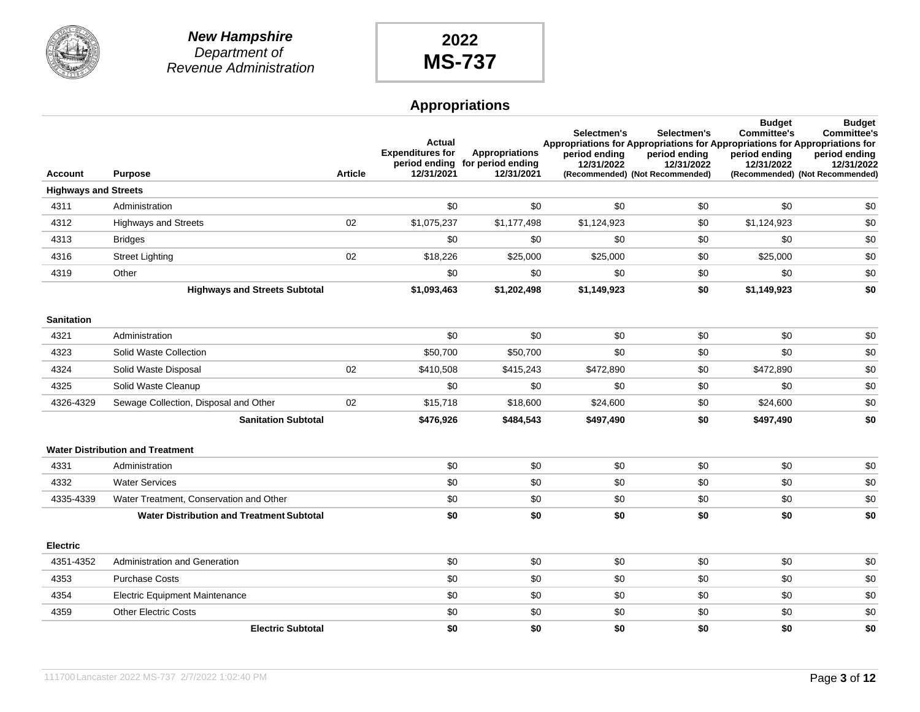

|                             |                                                  |                | Actual<br><b>Expenditures for</b> | <b>Appropriations</b><br>period ending for period ending | Selectmen's<br>period ending<br>12/31/2022 | Selectmen's<br>Appropriations for Appropriations for Appropriations for Appropriations for<br>period ending<br>12/31/2022 | <b>Budget</b><br><b>Committee's</b><br>period ending<br>12/31/2022 | <b>Budget</b><br><b>Committee's</b><br>period ending<br>12/31/2022 |
|-----------------------------|--------------------------------------------------|----------------|-----------------------------------|----------------------------------------------------------|--------------------------------------------|---------------------------------------------------------------------------------------------------------------------------|--------------------------------------------------------------------|--------------------------------------------------------------------|
| <b>Account</b>              | <b>Purpose</b>                                   | <b>Article</b> | 12/31/2021                        | 12/31/2021                                               |                                            | (Recommended) (Not Recommended)                                                                                           |                                                                    | (Recommended) (Not Recommended)                                    |
| <b>Highways and Streets</b> |                                                  |                |                                   |                                                          |                                            |                                                                                                                           |                                                                    |                                                                    |
| 4311                        | Administration                                   |                | \$0                               | \$0                                                      | \$0                                        | \$0                                                                                                                       | \$0                                                                | \$0                                                                |
| 4312                        | <b>Highways and Streets</b>                      | 02             | \$1,075,237                       | \$1,177,498                                              | \$1,124,923                                | \$0                                                                                                                       | \$1,124,923                                                        | \$0                                                                |
| 4313                        | <b>Bridges</b>                                   |                | \$0                               | \$0                                                      | \$0                                        | \$0                                                                                                                       | \$0                                                                | \$0                                                                |
| 4316                        | <b>Street Lighting</b>                           | 02             | \$18,226                          | \$25,000                                                 | \$25,000                                   | \$0                                                                                                                       | \$25,000                                                           | \$0                                                                |
| 4319                        | Other                                            |                | \$0                               | \$0                                                      | \$0                                        | \$0                                                                                                                       | \$0                                                                | \$0                                                                |
|                             | <b>Highways and Streets Subtotal</b>             |                | \$1,093,463                       | \$1,202,498                                              | \$1,149,923                                | \$0                                                                                                                       | \$1,149,923                                                        | \$0                                                                |
| <b>Sanitation</b>           |                                                  |                |                                   |                                                          |                                            |                                                                                                                           |                                                                    |                                                                    |
| 4321                        | Administration                                   |                | \$0                               | \$0                                                      | \$0                                        | \$0                                                                                                                       | \$0                                                                | \$0                                                                |
| 4323                        | Solid Waste Collection                           |                | \$50,700                          | \$50,700                                                 | \$0                                        | \$0                                                                                                                       | \$0                                                                | \$0                                                                |
| 4324                        | Solid Waste Disposal                             | 02             | \$410,508                         | \$415,243                                                | \$472,890                                  | \$0                                                                                                                       | \$472,890                                                          | \$0                                                                |
| 4325                        | Solid Waste Cleanup                              |                | \$0                               | \$0                                                      | \$0                                        | \$0                                                                                                                       | \$0                                                                | \$0                                                                |
| 4326-4329                   | Sewage Collection, Disposal and Other            | 02             | \$15,718                          | \$18,600                                                 | \$24,600                                   | \$0                                                                                                                       | \$24,600                                                           | \$0                                                                |
|                             | <b>Sanitation Subtotal</b>                       |                | \$476,926                         | \$484,543                                                | \$497,490                                  | \$0                                                                                                                       | \$497,490                                                          | \$0                                                                |
|                             | <b>Water Distribution and Treatment</b>          |                |                                   |                                                          |                                            |                                                                                                                           |                                                                    |                                                                    |
| 4331                        | Administration                                   |                | \$0                               | \$0                                                      | \$0                                        | \$0                                                                                                                       | \$0                                                                | \$0                                                                |
| 4332                        | <b>Water Services</b>                            |                | \$0                               | \$0                                                      | \$0                                        | \$0                                                                                                                       | \$0                                                                | \$0                                                                |
| 4335-4339                   | Water Treatment, Conservation and Other          |                | \$0                               | \$0                                                      | \$0                                        | \$0                                                                                                                       | \$0                                                                | \$0                                                                |
|                             | <b>Water Distribution and Treatment Subtotal</b> |                | \$0                               | \$0                                                      | \$0                                        | \$0                                                                                                                       | \$0                                                                | \$0                                                                |
| <b>Electric</b>             |                                                  |                |                                   |                                                          |                                            |                                                                                                                           |                                                                    |                                                                    |
| 4351-4352                   | Administration and Generation                    |                | \$0                               | \$0                                                      | \$0                                        | \$0                                                                                                                       | \$0                                                                | \$0                                                                |
| 4353                        | <b>Purchase Costs</b>                            |                | \$0                               | \$0                                                      | \$0                                        | \$0                                                                                                                       | \$0                                                                | \$0                                                                |
| 4354                        | <b>Electric Equipment Maintenance</b>            |                | \$0                               | \$0                                                      | \$0                                        | \$0                                                                                                                       | \$0                                                                | \$0                                                                |
| 4359                        | <b>Other Electric Costs</b>                      |                | \$0                               | \$0                                                      | \$0                                        | \$0                                                                                                                       | \$0                                                                | \$0                                                                |
|                             | <b>Electric Subtotal</b>                         |                | \$0                               | \$0                                                      | \$0                                        | \$0                                                                                                                       | \$0                                                                | \$0                                                                |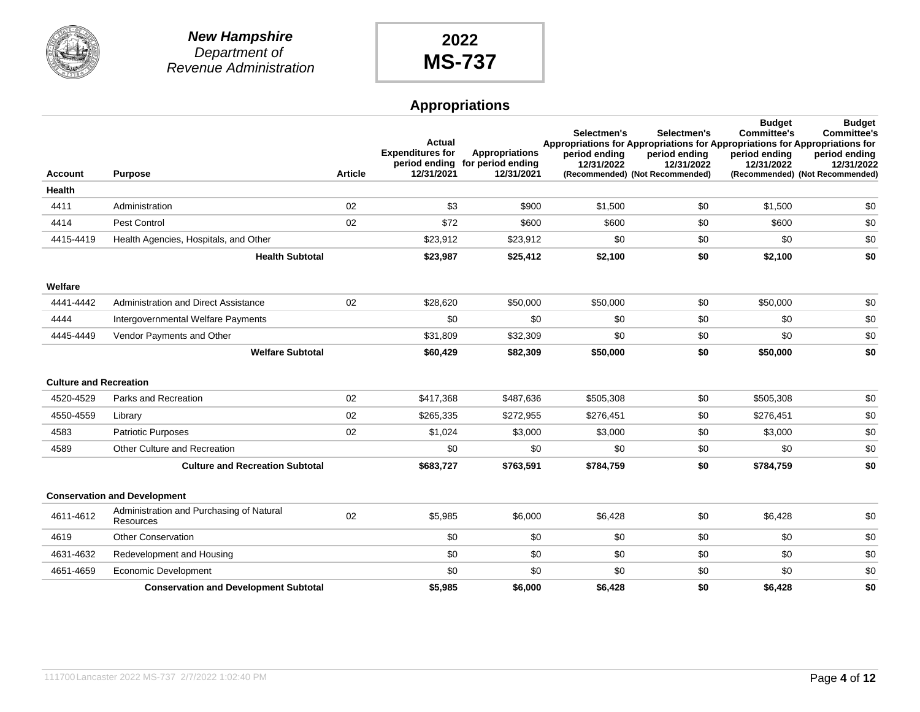

|                               |                                                       |                | Actual<br><b>Expenditures for</b> | Appropriations<br>period ending for period ending | Selectmen's<br>Appropriations for Appropriations for Appropriations for Appropriations for<br>period ending<br>12/31/2022 | Selectmen's<br>period ending<br>12/31/2022 | <b>Budget</b><br><b>Committee's</b><br>period ending<br>12/31/2022 | <b>Budget</b><br><b>Committee's</b><br>period ending<br>12/31/2022 |
|-------------------------------|-------------------------------------------------------|----------------|-----------------------------------|---------------------------------------------------|---------------------------------------------------------------------------------------------------------------------------|--------------------------------------------|--------------------------------------------------------------------|--------------------------------------------------------------------|
| <b>Account</b>                | <b>Purpose</b>                                        | <b>Article</b> | 12/31/2021                        | 12/31/2021                                        |                                                                                                                           | (Recommended) (Not Recommended)            |                                                                    | (Recommended) (Not Recommended)                                    |
| Health                        |                                                       |                |                                   |                                                   |                                                                                                                           |                                            |                                                                    |                                                                    |
| 4411                          | Administration                                        | 02             | \$3                               | \$900                                             | \$1,500                                                                                                                   | \$0                                        | \$1,500                                                            | \$0                                                                |
| 4414                          | <b>Pest Control</b>                                   | 02             | \$72                              | \$600                                             | \$600                                                                                                                     | \$0                                        | \$600                                                              | \$0                                                                |
| 4415-4419                     | Health Agencies, Hospitals, and Other                 |                | \$23,912                          | \$23,912                                          | \$0                                                                                                                       | \$0                                        | \$0                                                                | \$0                                                                |
|                               | <b>Health Subtotal</b>                                |                | \$23,987                          | \$25,412                                          | \$2,100                                                                                                                   | \$0                                        | \$2,100                                                            | \$0                                                                |
| Welfare                       |                                                       |                |                                   |                                                   |                                                                                                                           |                                            |                                                                    |                                                                    |
| 4441-4442                     | Administration and Direct Assistance                  | 02             | \$28,620                          | \$50,000                                          | \$50,000                                                                                                                  | \$0                                        | \$50,000                                                           | \$0                                                                |
| 4444                          | Intergovernmental Welfare Payments                    |                | \$0                               | \$0                                               | \$0                                                                                                                       | \$0                                        | \$0                                                                | \$0                                                                |
| 4445-4449                     | Vendor Payments and Other                             |                | \$31,809                          | \$32,309                                          | \$0                                                                                                                       | \$0                                        | \$0                                                                | \$0                                                                |
|                               | <b>Welfare Subtotal</b>                               |                | \$60,429                          | \$82,309                                          | \$50,000                                                                                                                  | \$0                                        | \$50,000                                                           | \$0                                                                |
| <b>Culture and Recreation</b> |                                                       |                |                                   |                                                   |                                                                                                                           |                                            |                                                                    |                                                                    |
| 4520-4529                     | Parks and Recreation                                  | 02             | \$417,368                         | \$487,636                                         | \$505,308                                                                                                                 | \$0                                        | \$505,308                                                          | \$0                                                                |
| 4550-4559                     | Library                                               | 02             | \$265,335                         | \$272,955                                         | \$276,451                                                                                                                 | \$0                                        | \$276,451                                                          | \$0                                                                |
| 4583                          | <b>Patriotic Purposes</b>                             | 02             | \$1,024                           | \$3,000                                           | \$3,000                                                                                                                   | \$0                                        | \$3,000                                                            | \$0                                                                |
| 4589                          | Other Culture and Recreation                          |                | \$0                               | \$0                                               | \$0                                                                                                                       | \$0                                        | \$0                                                                | \$0                                                                |
|                               | <b>Culture and Recreation Subtotal</b>                |                | \$683,727                         | \$763,591                                         | \$784,759                                                                                                                 | \$0                                        | \$784,759                                                          | \$0                                                                |
|                               | <b>Conservation and Development</b>                   |                |                                   |                                                   |                                                                                                                           |                                            |                                                                    |                                                                    |
| 4611-4612                     | Administration and Purchasing of Natural<br>Resources | 02             | \$5,985                           | \$6,000                                           | \$6,428                                                                                                                   | \$0                                        | \$6,428                                                            | \$0                                                                |
| 4619                          | <b>Other Conservation</b>                             |                | \$0                               | \$0                                               | \$0                                                                                                                       | \$0                                        | \$0                                                                | \$0                                                                |
| 4631-4632                     | Redevelopment and Housing                             |                | \$0                               | \$0                                               | \$0                                                                                                                       | \$0                                        | \$0                                                                | \$0                                                                |
| 4651-4659                     | Economic Development                                  |                | \$0                               | \$0                                               | \$0                                                                                                                       | \$0                                        | \$0                                                                | \$0                                                                |
|                               | <b>Conservation and Development Subtotal</b>          |                | \$5,985                           | \$6,000                                           | \$6,428                                                                                                                   | \$0                                        | \$6,428                                                            | \$0                                                                |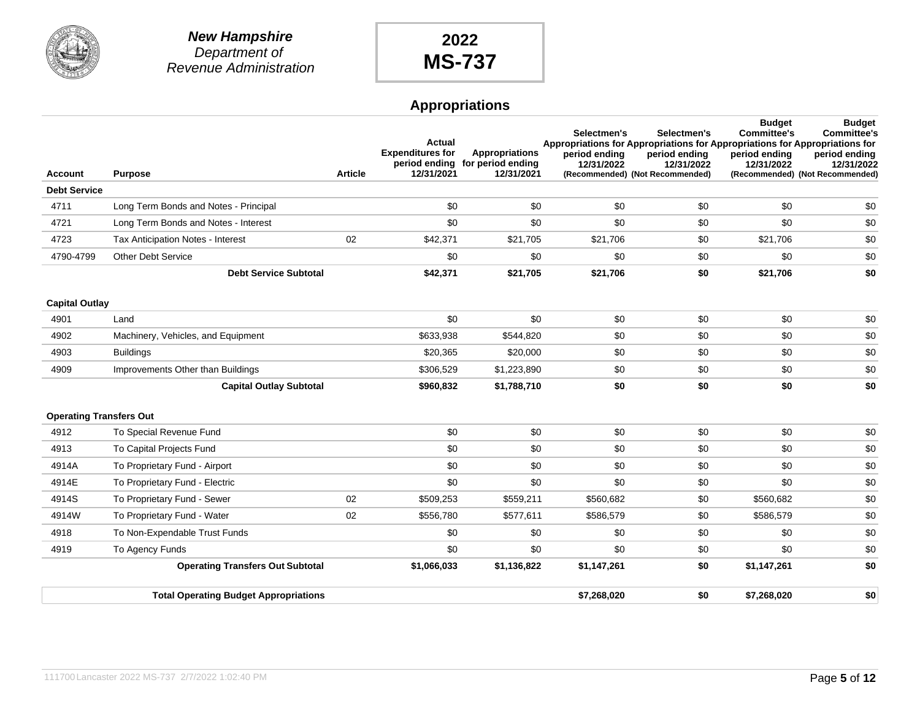

|                                |                                              |                | Actual                                |                                                                        | Selectmen's<br>Appropriations for Appropriations for Appropriations for Appropriations for | Selectmen's                                                    | <b>Budget</b><br><b>Committee's</b> | <b>Budget</b><br><b>Committee's</b>                            |
|--------------------------------|----------------------------------------------|----------------|---------------------------------------|------------------------------------------------------------------------|--------------------------------------------------------------------------------------------|----------------------------------------------------------------|-------------------------------------|----------------------------------------------------------------|
| <b>Account</b>                 | <b>Purpose</b>                               | <b>Article</b> | <b>Expenditures for</b><br>12/31/2021 | <b>Appropriations</b><br>period ending for period ending<br>12/31/2021 | period ending<br>12/31/2022                                                                | period ending<br>12/31/2022<br>(Recommended) (Not Recommended) | period ending<br>12/31/2022         | period ending<br>12/31/2022<br>(Recommended) (Not Recommended) |
| <b>Debt Service</b>            |                                              |                |                                       |                                                                        |                                                                                            |                                                                |                                     |                                                                |
| 4711                           | Long Term Bonds and Notes - Principal        |                | \$0                                   | \$0                                                                    | \$0                                                                                        | \$0                                                            | \$0                                 | \$0                                                            |
| 4721                           | Long Term Bonds and Notes - Interest         |                | \$0                                   | \$0                                                                    | \$0                                                                                        | \$0                                                            | \$0                                 | \$0                                                            |
| 4723                           | <b>Tax Anticipation Notes - Interest</b>     | 02             | \$42,371                              | \$21,705                                                               | \$21,706                                                                                   | \$0                                                            | \$21,706                            | \$0                                                            |
| 4790-4799                      | <b>Other Debt Service</b>                    |                | \$0                                   | \$0                                                                    | \$0                                                                                        | \$0                                                            | \$0                                 | \$0                                                            |
|                                | <b>Debt Service Subtotal</b>                 |                | \$42,371                              | \$21,705                                                               | \$21,706                                                                                   | \$0                                                            | \$21,706                            | \$0                                                            |
|                                |                                              |                |                                       |                                                                        |                                                                                            |                                                                |                                     |                                                                |
| <b>Capital Outlay</b>          |                                              |                |                                       |                                                                        |                                                                                            |                                                                |                                     |                                                                |
| 4901                           | Land                                         |                | \$0                                   | \$0                                                                    | \$0                                                                                        | \$0                                                            | \$0                                 | \$0                                                            |
| 4902                           | Machinery, Vehicles, and Equipment           |                | \$633,938                             | \$544,820                                                              | \$0                                                                                        | \$0                                                            | \$0                                 | \$0                                                            |
| 4903                           | <b>Buildings</b>                             |                | \$20,365                              | \$20,000                                                               | \$0                                                                                        | \$0                                                            | \$0                                 | \$0                                                            |
| 4909                           | Improvements Other than Buildings            |                | \$306,529                             | \$1,223,890                                                            | \$0                                                                                        | \$0                                                            | \$0                                 | \$0                                                            |
|                                | <b>Capital Outlay Subtotal</b>               |                | \$960,832                             | \$1,788,710                                                            | \$0                                                                                        | \$0                                                            | \$0                                 | \$0                                                            |
|                                |                                              |                |                                       |                                                                        |                                                                                            |                                                                |                                     |                                                                |
| <b>Operating Transfers Out</b> |                                              |                |                                       |                                                                        |                                                                                            |                                                                |                                     |                                                                |
| 4912                           | To Special Revenue Fund                      |                | \$0                                   | \$0                                                                    | \$0                                                                                        | \$0                                                            | \$0                                 | \$0                                                            |
| 4913                           | To Capital Projects Fund                     |                | \$0                                   | \$0                                                                    | \$0                                                                                        | \$0                                                            | \$0                                 | \$0                                                            |
| 4914A                          | To Proprietary Fund - Airport                |                | \$0                                   | \$0                                                                    | \$0                                                                                        | \$0                                                            | \$0                                 | \$0                                                            |
| 4914E                          | To Proprietary Fund - Electric               |                | \$0                                   | \$0                                                                    | \$0                                                                                        | \$0                                                            | \$0                                 | \$0                                                            |
| 4914S                          | To Proprietary Fund - Sewer                  | 02             | \$509,253                             | \$559,211                                                              | \$560,682                                                                                  | \$0                                                            | \$560,682                           | \$0                                                            |
| 4914W                          | To Proprietary Fund - Water                  | 02             | \$556,780                             | \$577,611                                                              | \$586,579                                                                                  | \$0                                                            | \$586,579                           | \$0                                                            |
| 4918                           | To Non-Expendable Trust Funds                |                | \$0                                   | \$0                                                                    | \$0                                                                                        | \$0                                                            | \$0                                 | \$0                                                            |
| 4919                           | To Agency Funds                              |                | \$0                                   | \$0                                                                    | \$0                                                                                        | \$0                                                            | \$0                                 | \$0                                                            |
|                                | <b>Operating Transfers Out Subtotal</b>      |                | \$1,066,033                           | \$1,136,822                                                            | \$1,147,261                                                                                | \$0                                                            | \$1,147,261                         | \$0                                                            |
|                                | <b>Total Operating Budget Appropriations</b> |                |                                       |                                                                        | \$7,268,020                                                                                | \$0                                                            | \$7,268,020                         | \$0                                                            |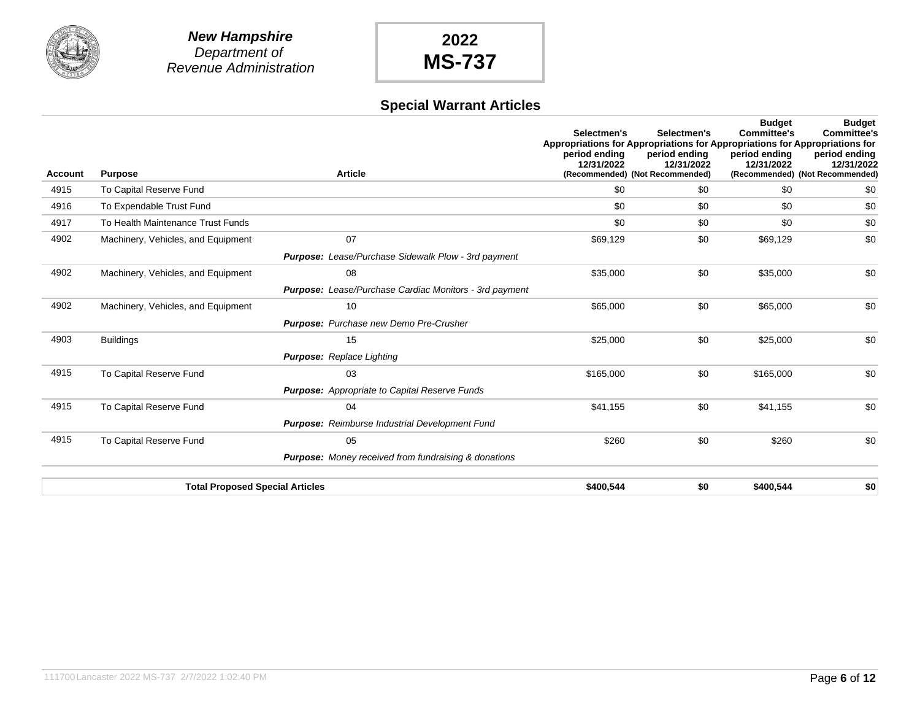

## **Special Warrant Articles**

| <b>Account</b> | <b>Purpose</b>                         | <b>Article</b>                                                | Selectmen's<br>Appropriations for Appropriations for Appropriations for Appropriations for<br>period ending<br>12/31/2022 | Selectmen's<br>period ending<br>12/31/2022<br>(Recommended) (Not Recommended) | <b>Budget</b><br><b>Committee's</b><br>period ending<br>12/31/2022 | <b>Budget</b><br><b>Committee's</b><br>period ending<br>12/31/2022<br>(Recommended) (Not Recommended) |
|----------------|----------------------------------------|---------------------------------------------------------------|---------------------------------------------------------------------------------------------------------------------------|-------------------------------------------------------------------------------|--------------------------------------------------------------------|-------------------------------------------------------------------------------------------------------|
| 4915           | To Capital Reserve Fund                |                                                               | \$0                                                                                                                       | \$0                                                                           | \$0                                                                | \$0                                                                                                   |
| 4916           | To Expendable Trust Fund               |                                                               | \$0                                                                                                                       | \$0                                                                           | \$0                                                                | \$0                                                                                                   |
| 4917           | To Health Maintenance Trust Funds      |                                                               | \$0                                                                                                                       | \$0                                                                           | \$0                                                                | \$0                                                                                                   |
| 4902           | Machinery, Vehicles, and Equipment     | 07                                                            | \$69,129                                                                                                                  | \$0                                                                           | \$69,129                                                           | \$0                                                                                                   |
|                |                                        | Purpose: Lease/Purchase Sidewalk Plow - 3rd payment           |                                                                                                                           |                                                                               |                                                                    |                                                                                                       |
| 4902           | Machinery, Vehicles, and Equipment     | 08                                                            | \$35,000                                                                                                                  | \$0                                                                           | \$35,000                                                           | \$0                                                                                                   |
|                |                                        | <b>Purpose:</b> Lease/Purchase Cardiac Monitors - 3rd payment |                                                                                                                           |                                                                               |                                                                    |                                                                                                       |
| 4902           | Machinery, Vehicles, and Equipment     | 10                                                            | \$65,000                                                                                                                  | \$0                                                                           | \$65,000                                                           | \$0                                                                                                   |
|                |                                        | <b>Purpose:</b> Purchase new Demo Pre-Crusher                 |                                                                                                                           |                                                                               |                                                                    |                                                                                                       |
| 4903           | <b>Buildings</b>                       | 15                                                            | \$25,000                                                                                                                  | \$0                                                                           | \$25,000                                                           | \$0                                                                                                   |
|                |                                        | <b>Purpose:</b> Replace Lighting                              |                                                                                                                           |                                                                               |                                                                    |                                                                                                       |
| 4915           | To Capital Reserve Fund                | 03                                                            | \$165,000                                                                                                                 | \$0                                                                           | \$165,000                                                          | \$0                                                                                                   |
|                |                                        | <b>Purpose:</b> Appropriate to Capital Reserve Funds          |                                                                                                                           |                                                                               |                                                                    |                                                                                                       |
| 4915           | To Capital Reserve Fund                | 04                                                            | \$41,155                                                                                                                  | \$0                                                                           | \$41,155                                                           | \$0                                                                                                   |
|                |                                        | <b>Purpose:</b> Reimburse Industrial Development Fund         |                                                                                                                           |                                                                               |                                                                    |                                                                                                       |
| 4915           | To Capital Reserve Fund                | 05                                                            | \$260                                                                                                                     | \$0                                                                           | \$260                                                              | \$0                                                                                                   |
|                |                                        | <b>Purpose:</b> Money received from fundraising & donations   |                                                                                                                           |                                                                               |                                                                    |                                                                                                       |
|                | <b>Total Proposed Special Articles</b> |                                                               | \$400,544                                                                                                                 | \$0                                                                           | \$400,544                                                          | \$0                                                                                                   |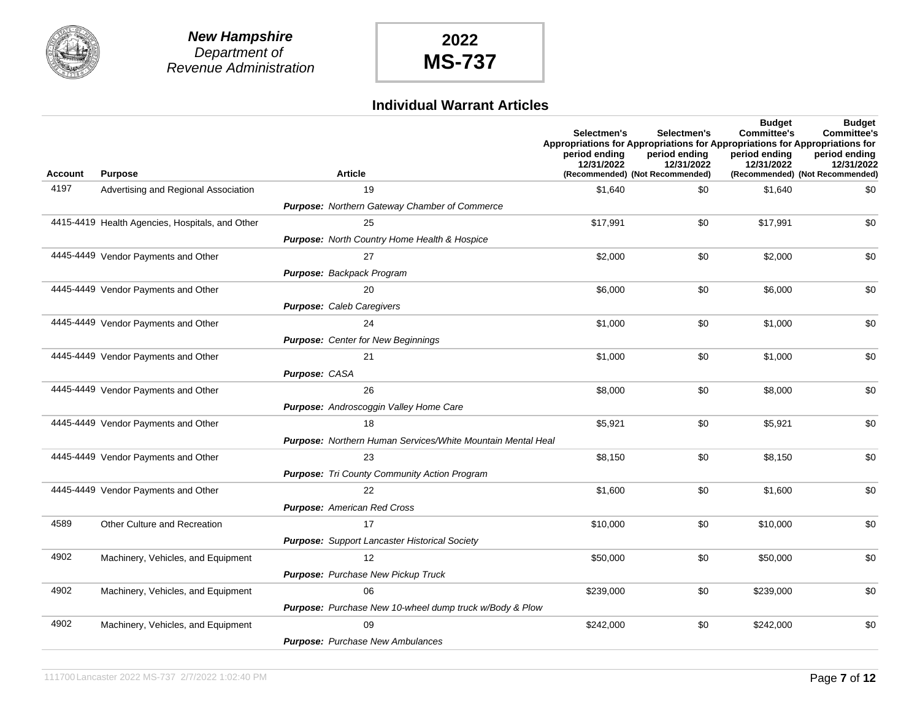

#### **Individual Warrant Articles**

|         |                                                 |                                                                | Selectmen's<br>Appropriations for Appropriations for Appropriations for Appropriations for<br>period ending<br>12/31/2022 | Selectmen's<br>period ending<br>12/31/2022 | <b>Budget</b><br><b>Committee's</b><br>period ending<br>12/31/2022 | <b>Budget</b><br><b>Committee's</b><br>period ending<br>12/31/2022 |
|---------|-------------------------------------------------|----------------------------------------------------------------|---------------------------------------------------------------------------------------------------------------------------|--------------------------------------------|--------------------------------------------------------------------|--------------------------------------------------------------------|
| Account | <b>Purpose</b>                                  | <b>Article</b>                                                 |                                                                                                                           | (Recommended) (Not Recommended)            |                                                                    | (Recommended) (Not Recommended)                                    |
| 4197    | Advertising and Regional Association            | 19                                                             | \$1,640                                                                                                                   | \$0                                        | \$1,640                                                            | \$0                                                                |
|         |                                                 | Purpose: Northern Gateway Chamber of Commerce                  |                                                                                                                           |                                            |                                                                    |                                                                    |
|         | 4415-4419 Health Agencies, Hospitals, and Other | 25                                                             | \$17,991                                                                                                                  | \$0                                        | \$17,991                                                           | \$0                                                                |
|         |                                                 | Purpose: North Country Home Health & Hospice                   |                                                                                                                           |                                            |                                                                    |                                                                    |
|         | 4445-4449 Vendor Payments and Other             | 27                                                             | \$2,000                                                                                                                   | \$0                                        | \$2,000                                                            | \$0                                                                |
|         |                                                 | Purpose: Backpack Program                                      |                                                                                                                           |                                            |                                                                    |                                                                    |
|         | 4445-4449 Vendor Payments and Other             | 20                                                             | \$6,000                                                                                                                   | \$0                                        | \$6,000                                                            | \$0                                                                |
|         |                                                 | <b>Purpose: Caleb Caregivers</b>                               |                                                                                                                           |                                            |                                                                    |                                                                    |
|         | 4445-4449 Vendor Payments and Other             | 24                                                             | \$1,000                                                                                                                   | \$0                                        | \$1,000                                                            | \$0                                                                |
|         |                                                 | <b>Purpose:</b> Center for New Beginnings                      |                                                                                                                           |                                            |                                                                    |                                                                    |
|         | 4445-4449 Vendor Payments and Other             | 21                                                             | \$1,000                                                                                                                   | \$0                                        | \$1,000                                                            | \$0                                                                |
|         |                                                 | Purpose: CASA                                                  |                                                                                                                           |                                            |                                                                    |                                                                    |
|         | 4445-4449 Vendor Payments and Other             | 26                                                             | \$8,000                                                                                                                   | \$0                                        | \$8,000                                                            | \$0                                                                |
|         |                                                 | Purpose: Androscoggin Valley Home Care                         |                                                                                                                           |                                            |                                                                    |                                                                    |
|         | 4445-4449 Vendor Payments and Other             | 18                                                             | \$5,921                                                                                                                   | \$0                                        | \$5,921                                                            | \$0                                                                |
|         |                                                 | Purpose: Northern Human Services/White Mountain Mental Heal    |                                                                                                                           |                                            |                                                                    |                                                                    |
|         | 4445-4449 Vendor Payments and Other             | 23                                                             | \$8,150                                                                                                                   | \$0                                        | \$8,150                                                            | \$0                                                                |
|         |                                                 | <b>Purpose:</b> Tri County Community Action Program            |                                                                                                                           |                                            |                                                                    |                                                                    |
|         | 4445-4449 Vendor Payments and Other             | 22                                                             | \$1,600                                                                                                                   | \$0                                        | \$1,600                                                            | \$0                                                                |
|         |                                                 | <b>Purpose:</b> American Red Cross                             |                                                                                                                           |                                            |                                                                    |                                                                    |
| 4589    | <b>Other Culture and Recreation</b>             | 17                                                             | \$10,000                                                                                                                  | \$0                                        | \$10,000                                                           | \$0                                                                |
|         |                                                 | <b>Purpose:</b> Support Lancaster Historical Society           |                                                                                                                           |                                            |                                                                    |                                                                    |
| 4902    | Machinery, Vehicles, and Equipment              | 12                                                             | \$50,000                                                                                                                  | \$0                                        | \$50,000                                                           | \$0                                                                |
|         |                                                 | Purpose: Purchase New Pickup Truck                             |                                                                                                                           |                                            |                                                                    |                                                                    |
| 4902    | Machinery, Vehicles, and Equipment              | 06                                                             | \$239,000                                                                                                                 | \$0                                        | \$239,000                                                          | \$0                                                                |
|         |                                                 | <b>Purpose:</b> Purchase New 10-wheel dump truck w/Body & Plow |                                                                                                                           |                                            |                                                                    |                                                                    |
| 4902    | Machinery, Vehicles, and Equipment              | 09                                                             | \$242,000                                                                                                                 | \$0                                        | \$242,000                                                          | \$0                                                                |
|         |                                                 | <b>Purpose:</b> Purchase New Ambulances                        |                                                                                                                           |                                            |                                                                    |                                                                    |
|         |                                                 |                                                                |                                                                                                                           |                                            |                                                                    |                                                                    |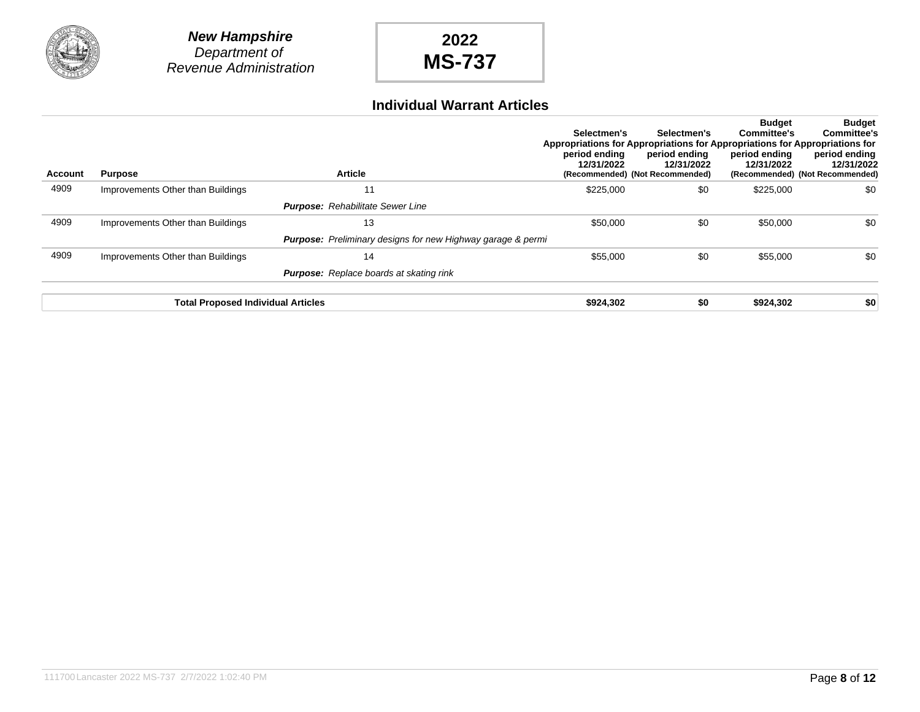



#### **Individual Warrant Articles**

| <b>Account</b> | <b>Purpose</b>                            | <b>Article</b>                                                     | Selectmen's<br>period ending<br>12/31/2022 | Selectmen's<br>Appropriations for Appropriations for Appropriations for Appropriations for<br>period ending<br>12/31/2022<br>(Recommended) (Not Recommended) | <b>Budget</b><br>Committee's<br>period ending<br>12/31/2022 | <b>Budget</b><br><b>Committee's</b><br>period ending<br>12/31/2022<br>(Recommended) (Not Recommended) |
|----------------|-------------------------------------------|--------------------------------------------------------------------|--------------------------------------------|--------------------------------------------------------------------------------------------------------------------------------------------------------------|-------------------------------------------------------------|-------------------------------------------------------------------------------------------------------|
| 4909           | Improvements Other than Buildings         | 11                                                                 | \$225,000                                  | \$0                                                                                                                                                          | \$225,000                                                   | \$0                                                                                                   |
|                |                                           | <b>Purpose:</b> Rehabilitate Sewer Line                            |                                            |                                                                                                                                                              |                                                             |                                                                                                       |
| 4909           | Improvements Other than Buildings         | 13                                                                 | \$50,000                                   | \$0                                                                                                                                                          | \$50,000                                                    | \$0                                                                                                   |
|                |                                           | <b>Purpose:</b> Preliminary designs for new Highway garage & permi |                                            |                                                                                                                                                              |                                                             |                                                                                                       |
| 4909           | Improvements Other than Buildings         | 14                                                                 | \$55,000                                   | \$0                                                                                                                                                          | \$55,000                                                    | \$0                                                                                                   |
|                |                                           | <b>Purpose:</b> Replace boards at skating rink                     |                                            |                                                                                                                                                              |                                                             |                                                                                                       |
|                | <b>Total Proposed Individual Articles</b> |                                                                    | \$924,302                                  | \$0                                                                                                                                                          | \$924,302                                                   | \$0                                                                                                   |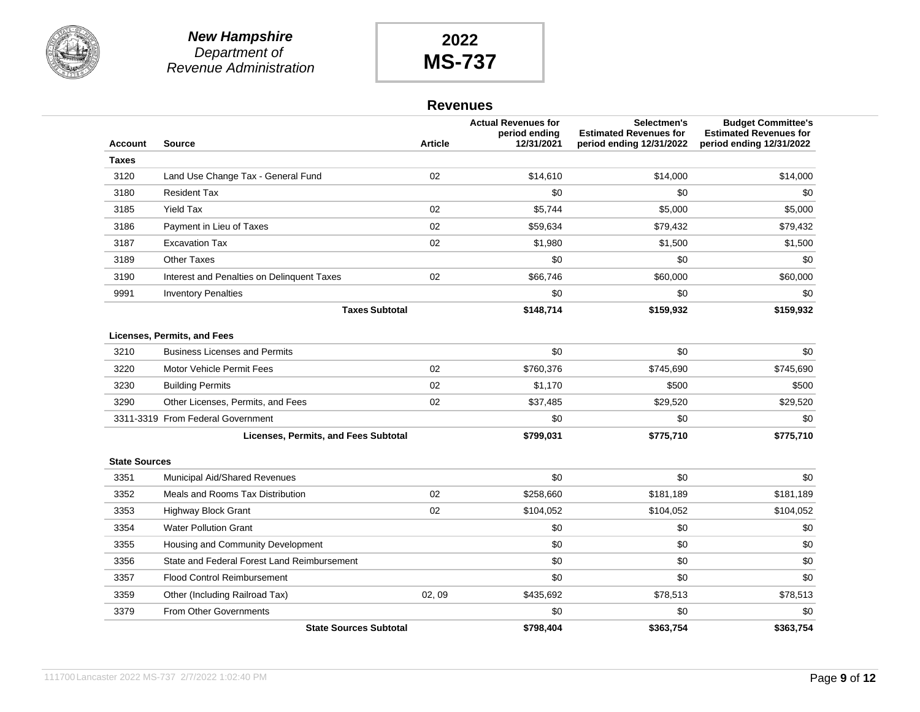

#### **Revenues**

| <b>Account</b>       | <b>Source</b>                               | <b>Article</b> | <b>Actual Revenues for</b><br>period ending<br>12/31/2021 | Selectmen's<br><b>Estimated Revenues for</b><br>period ending 12/31/2022 | <b>Budget Committee's</b><br><b>Estimated Revenues for</b><br>period ending 12/31/2022 |
|----------------------|---------------------------------------------|----------------|-----------------------------------------------------------|--------------------------------------------------------------------------|----------------------------------------------------------------------------------------|
| Taxes                |                                             |                |                                                           |                                                                          |                                                                                        |
| 3120                 | Land Use Change Tax - General Fund          | 02             | \$14,610                                                  | \$14,000                                                                 | \$14,000                                                                               |
| 3180                 | <b>Resident Tax</b>                         |                | \$0                                                       | \$0                                                                      | \$0                                                                                    |
| 3185                 | <b>Yield Tax</b>                            | 02             | \$5,744                                                   | \$5,000                                                                  | \$5,000                                                                                |
| 3186                 | Payment in Lieu of Taxes                    | 02             | \$59,634                                                  | \$79,432                                                                 | \$79,432                                                                               |
| 3187                 | <b>Excavation Tax</b>                       | 02             | \$1,980                                                   | \$1,500                                                                  | \$1,500                                                                                |
| 3189                 | <b>Other Taxes</b>                          |                | \$0                                                       | \$0                                                                      | \$0                                                                                    |
| 3190                 | Interest and Penalties on Delinquent Taxes  | 02             | \$66,746                                                  | \$60,000                                                                 | \$60,000                                                                               |
| 9991                 | <b>Inventory Penalties</b>                  |                | \$0                                                       | \$0                                                                      | \$0                                                                                    |
|                      | <b>Taxes Subtotal</b>                       |                | \$148,714                                                 | \$159,932                                                                | \$159,932                                                                              |
|                      | Licenses, Permits, and Fees                 |                |                                                           |                                                                          |                                                                                        |
| 3210                 | <b>Business Licenses and Permits</b>        |                | \$0                                                       | \$0                                                                      | \$0                                                                                    |
| 3220                 | Motor Vehicle Permit Fees                   | 02             | \$760,376                                                 | \$745,690                                                                | \$745,690                                                                              |
| 3230                 | <b>Building Permits</b>                     | 02             | \$1,170                                                   | \$500                                                                    | \$500                                                                                  |
| 3290                 | Other Licenses, Permits, and Fees           | 02             | \$37,485                                                  | \$29,520                                                                 | \$29,520                                                                               |
|                      | 3311-3319 From Federal Government           |                | \$0                                                       | \$0                                                                      | \$0                                                                                    |
|                      | Licenses, Permits, and Fees Subtotal        |                | \$799,031                                                 | \$775,710                                                                | \$775,710                                                                              |
| <b>State Sources</b> |                                             |                |                                                           |                                                                          |                                                                                        |
| 3351                 | Municipal Aid/Shared Revenues               |                | \$0                                                       | \$0                                                                      | \$0                                                                                    |
| 3352                 | Meals and Rooms Tax Distribution            | 02             | \$258,660                                                 | \$181,189                                                                | \$181,189                                                                              |
| 3353                 | <b>Highway Block Grant</b>                  | 02             | \$104,052                                                 | \$104,052                                                                | \$104,052                                                                              |
| 3354                 | <b>Water Pollution Grant</b>                |                | \$0                                                       | \$0                                                                      | \$0                                                                                    |
| 3355                 | Housing and Community Development           |                | \$0                                                       | \$0                                                                      | \$0                                                                                    |
| 3356                 | State and Federal Forest Land Reimbursement |                | \$0                                                       | \$0                                                                      | \$0                                                                                    |
| 3357                 | <b>Flood Control Reimbursement</b>          |                | \$0                                                       | \$0                                                                      | \$0                                                                                    |
| 3359                 | Other (Including Railroad Tax)              | 02, 09         | \$435,692                                                 | \$78,513                                                                 | \$78,513                                                                               |
| 3379                 | <b>From Other Governments</b>               |                | \$0                                                       | \$0                                                                      | \$0                                                                                    |
|                      | <b>State Sources Subtotal</b>               |                | \$798.404                                                 | \$363,754                                                                | \$363,754                                                                              |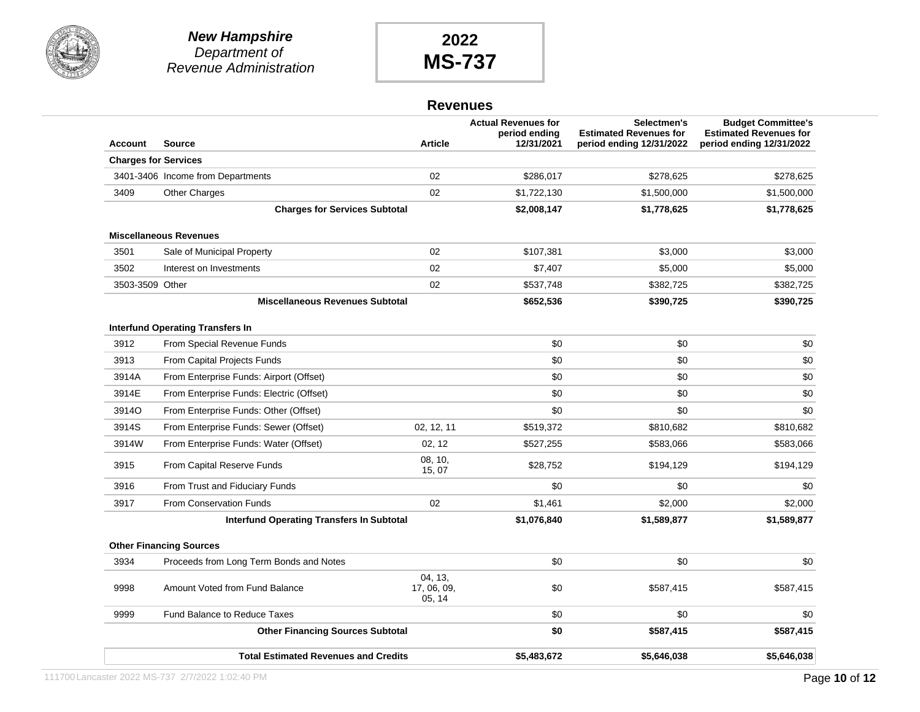



#### **Revenues**

| <b>Account</b>  | <b>Source</b>                               | <b>Article</b>                  | <b>Actual Revenues for</b><br>period ending<br>12/31/2021 | Selectmen's<br><b>Estimated Revenues for</b><br>period ending 12/31/2022 | <b>Budget Committee's</b><br><b>Estimated Revenues for</b><br>period ending 12/31/2022 |
|-----------------|---------------------------------------------|---------------------------------|-----------------------------------------------------------|--------------------------------------------------------------------------|----------------------------------------------------------------------------------------|
|                 | <b>Charges for Services</b>                 |                                 |                                                           |                                                                          |                                                                                        |
|                 | 3401-3406 Income from Departments           | 02                              | \$286,017                                                 | \$278,625                                                                | \$278,625                                                                              |
| 3409            | Other Charges                               | 02                              | \$1,722,130                                               | \$1,500,000                                                              | \$1,500,000                                                                            |
|                 | <b>Charges for Services Subtotal</b>        |                                 | \$2,008,147                                               | \$1,778,625                                                              | \$1,778,625                                                                            |
|                 | <b>Miscellaneous Revenues</b>               |                                 |                                                           |                                                                          |                                                                                        |
| 3501            | Sale of Municipal Property                  | 02                              | \$107,381                                                 | \$3,000                                                                  | \$3,000                                                                                |
| 3502            | Interest on Investments                     | 02                              | \$7,407                                                   | \$5,000                                                                  | \$5,000                                                                                |
| 3503-3509 Other |                                             | 02                              | \$537,748                                                 | \$382,725                                                                | \$382,725                                                                              |
|                 | <b>Miscellaneous Revenues Subtotal</b>      |                                 | \$652,536                                                 | \$390,725                                                                | \$390,725                                                                              |
|                 | <b>Interfund Operating Transfers In</b>     |                                 |                                                           |                                                                          |                                                                                        |
| 3912            | From Special Revenue Funds                  |                                 | \$0                                                       | \$0                                                                      | \$0                                                                                    |
| 3913            | From Capital Projects Funds                 |                                 | \$0                                                       | \$0                                                                      | \$0                                                                                    |
| 3914A           | From Enterprise Funds: Airport (Offset)     |                                 | \$0                                                       | \$0                                                                      | \$0                                                                                    |
| 3914E           | From Enterprise Funds: Electric (Offset)    |                                 | \$0                                                       | \$0                                                                      | \$0                                                                                    |
| 3914O           | From Enterprise Funds: Other (Offset)       |                                 | \$0                                                       | \$0                                                                      | \$0                                                                                    |
| 3914S           | From Enterprise Funds: Sewer (Offset)       | 02, 12, 11                      | \$519,372                                                 | \$810,682                                                                | \$810,682                                                                              |
| 3914W           | From Enterprise Funds: Water (Offset)       | 02, 12                          | \$527,255                                                 | \$583,066                                                                | \$583,066                                                                              |
| 3915            | From Capital Reserve Funds                  | 08, 10,<br>15, 07               | \$28,752                                                  | \$194,129                                                                | \$194,129                                                                              |
| 3916            | From Trust and Fiduciary Funds              |                                 | \$0                                                       | \$0                                                                      | \$0                                                                                    |
| 3917            | <b>From Conservation Funds</b>              | 02                              | \$1,461                                                   | \$2,000                                                                  | \$2,000                                                                                |
|                 | Interfund Operating Transfers In Subtotal   |                                 | \$1,076,840                                               | \$1,589,877                                                              | \$1,589,877                                                                            |
|                 | <b>Other Financing Sources</b>              |                                 |                                                           |                                                                          |                                                                                        |
| 3934            | Proceeds from Long Term Bonds and Notes     |                                 | \$0                                                       | \$0                                                                      | \$0                                                                                    |
| 9998            | Amount Voted from Fund Balance              | 04.13.<br>17, 06, 09,<br>05, 14 | \$0                                                       | \$587,415                                                                | \$587,415                                                                              |
| 9999            | <b>Fund Balance to Reduce Taxes</b>         |                                 | \$0                                                       | \$0                                                                      | \$0                                                                                    |
|                 | <b>Other Financing Sources Subtotal</b>     |                                 | \$0                                                       | \$587,415                                                                | \$587,415                                                                              |
|                 | <b>Total Estimated Revenues and Credits</b> |                                 | \$5,483,672                                               | \$5,646,038                                                              | \$5,646,038                                                                            |
|                 |                                             |                                 |                                                           |                                                                          |                                                                                        |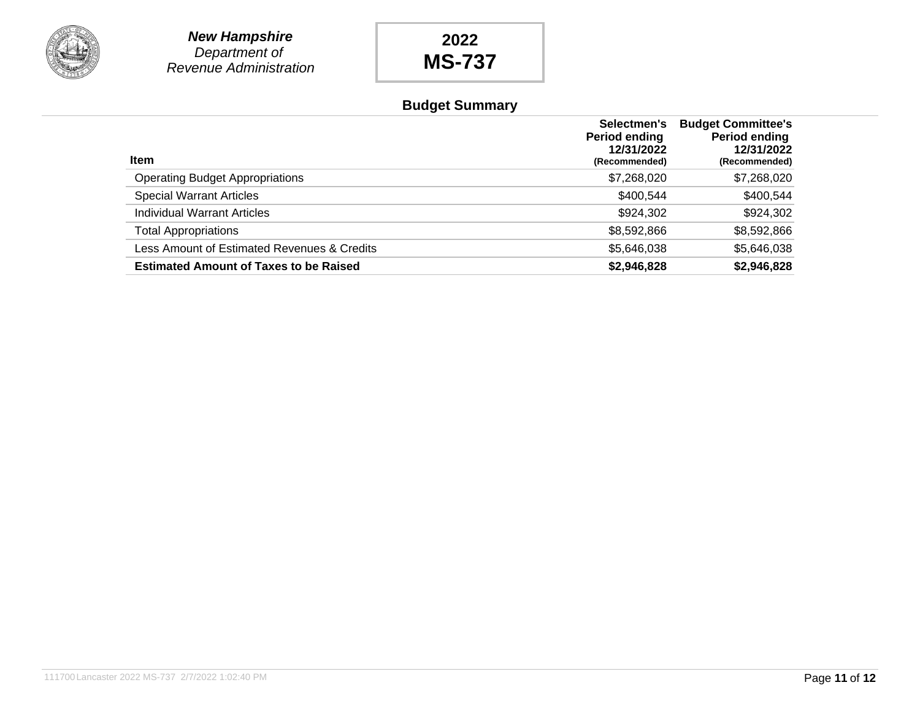

## **Budget Summary**

| <b>Item</b>                                   | Selectmen's<br>Period ending<br>12/31/2022<br>(Recommended) | <b>Budget Committee's</b><br><b>Period ending</b><br>12/31/2022<br>(Recommended) |
|-----------------------------------------------|-------------------------------------------------------------|----------------------------------------------------------------------------------|
| <b>Operating Budget Appropriations</b>        | \$7,268,020                                                 | \$7,268,020                                                                      |
| <b>Special Warrant Articles</b>               | \$400,544                                                   | \$400,544                                                                        |
| <b>Individual Warrant Articles</b>            | \$924,302                                                   | \$924,302                                                                        |
| <b>Total Appropriations</b>                   | \$8,592,866                                                 | \$8,592,866                                                                      |
| Less Amount of Estimated Revenues & Credits   | \$5,646,038                                                 | \$5,646,038                                                                      |
| <b>Estimated Amount of Taxes to be Raised</b> | \$2,946,828                                                 | \$2,946,828                                                                      |